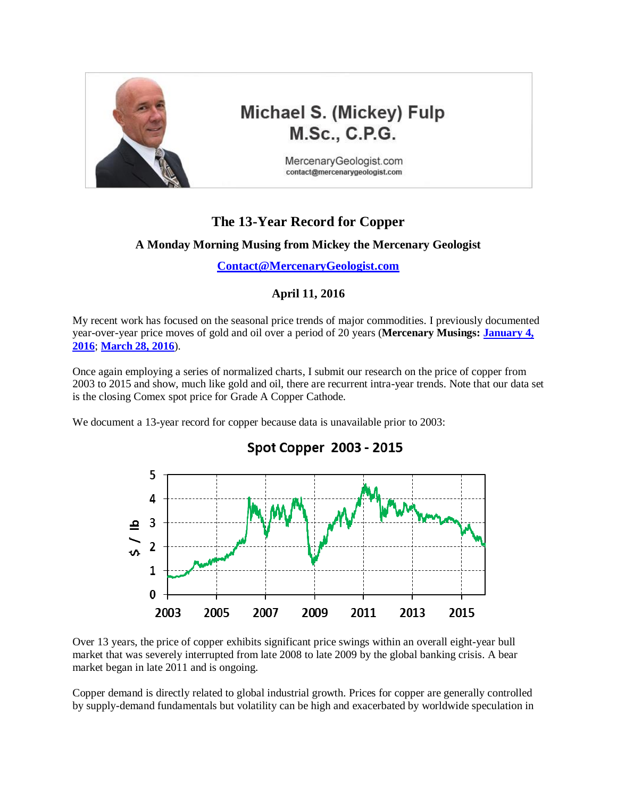

# Michael S. (Mickey) Fulp **M.Sc., C.P.G.**

MercenaryGeologist.com contact@mercenarygeologist.com

# **The 13-Year Record for Copper**

### **A Monday Morning Musing from Mickey the Mercenary Geologist**

**[Contact@MercenaryGeologist.com](mailto:Contact@MercenaryGeologist.com)**

### **April 11, 2016**

My recent work has focused on the seasonal price trends of major commodities. I previously documented year-over-year price moves of gold and oil over a period of 20 years (**Mercenary Musings: [January 4,](http://www.goldgeologist.com/mercenary_musings/musing-160104-The-20-Year-Record-for-Gold.pdf)  [2016](http://www.goldgeologist.com/mercenary_musings/musing-160104-The-20-Year-Record-for-Gold.pdf)**; **[March 28, 2016](http://www.goldgeologist.com/mercenary_musings/musing-160328-The-20-Year-Record-for-Oil.pdf)**).

Once again employing a series of normalized charts, I submit our research on the price of copper from 2003 to 2015 and show, much like gold and oil, there are recurrent intra-year trends. Note that our data set is the closing Comex spot price for Grade A Copper Cathode.

We document a 13-year record for copper because data is unavailable prior to 2003:



Over 13 years, the price of copper exhibits significant price swings within an overall eight-year bull market that was severely interrupted from late 2008 to late 2009 by the global banking crisis. A bear market began in late 2011 and is ongoing.

Copper demand is directly related to global industrial growth. Prices for copper are generally controlled by supply-demand fundamentals but volatility can be high and exacerbated by worldwide speculation in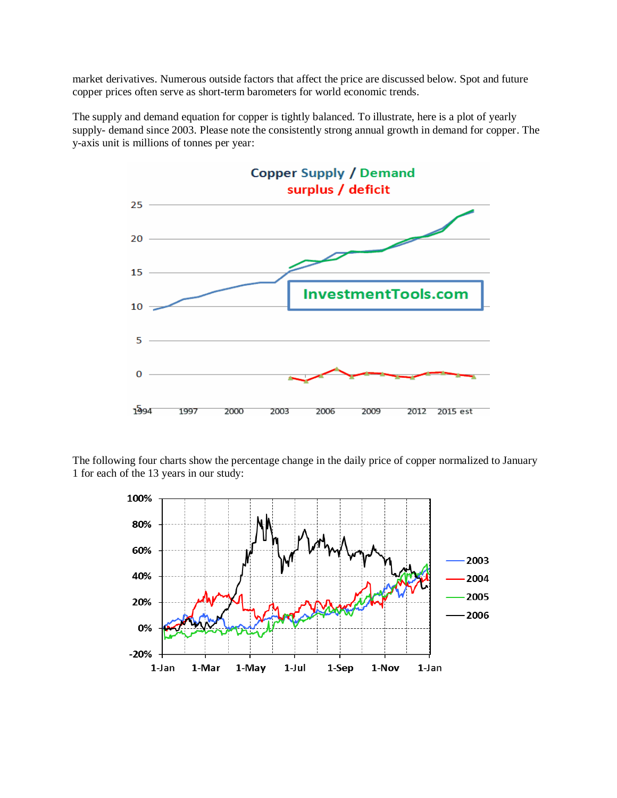market derivatives. Numerous outside factors that affect the price are discussed below. Spot and future copper prices often serve as short-term barometers for world economic trends.

The supply and demand equation for copper is tightly balanced. To illustrate, here is a plot of yearly supply- demand since 2003. Please note the consistently strong annual growth in demand for copper. The y-axis unit is millions of tonnes per year:



The following four charts show the percentage change in the daily price of copper normalized to January 1 for each of the 13 years in our study:

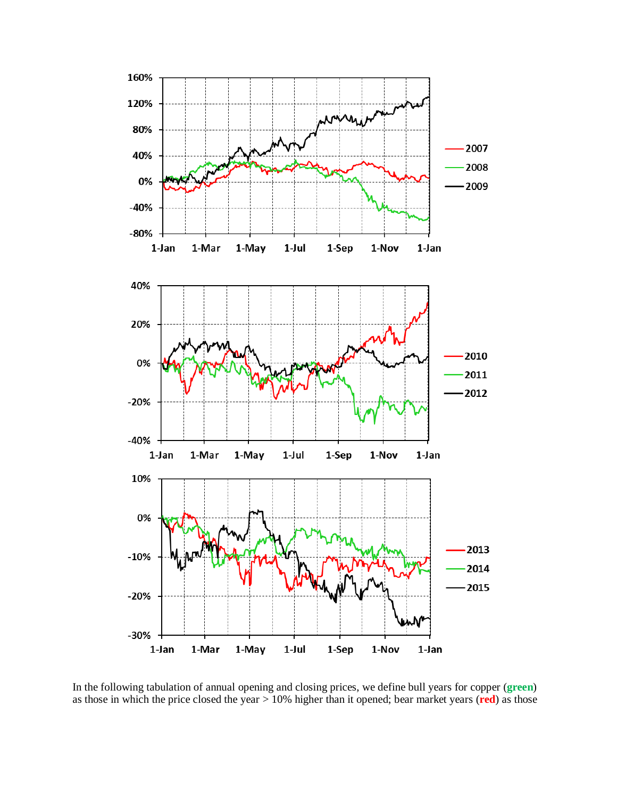

In the following tabulation of annual opening and closing prices, we define bull years for copper (**green**) as those in which the price closed the year > 10% higher than it opened; bear market years (**red**) as those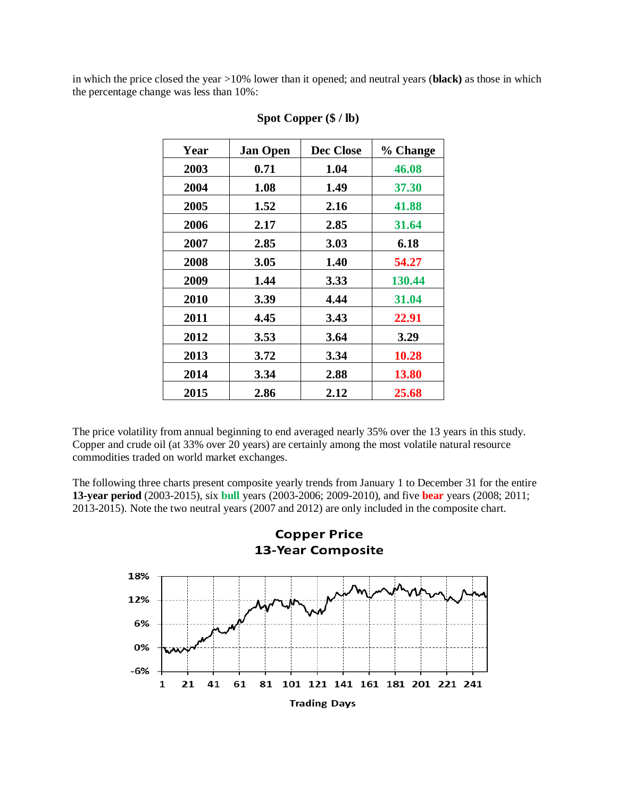in which the price closed the year >10% lower than it opened; and neutral years (**black)** as those in which the percentage change was less than 10%:

| Year | <b>Jan Open</b> | Dec Close | % Change     |
|------|-----------------|-----------|--------------|
| 2003 | 0.71            | 1.04      | 46.08        |
| 2004 | 1.08            | 1.49      | 37.30        |
| 2005 | 1.52            | 2.16      | 41.88        |
| 2006 | 2.17            | 2.85      | 31.64        |
| 2007 | 2.85            | 3.03      | 6.18         |
| 2008 | 3.05            | 1.40      | 54.27        |
| 2009 | 1.44            | 3.33      | 130.44       |
| 2010 | 3.39            | 4.44      | 31.04        |
| 2011 | 4.45            | 3.43      | 22.91        |
| 2012 | 3.53            | 3.64      | 3.29         |
| 2013 | 3.72            | 3.34      | 10.28        |
| 2014 | 3.34            | 2.88      | <b>13.80</b> |
| 2015 | 2.86            | 2.12      | 25.68        |

#### **Spot Copper (\$ / lb)**

The price volatility from annual beginning to end averaged nearly 35% over the 13 years in this study. Copper and crude oil (at 33% over 20 years) are certainly among the most volatile natural resource commodities traded on world market exchanges.

The following three charts present composite yearly trends from January 1 to December 31 for the entire **13-year period** (2003-2015), six **bull** years (2003-2006; 2009-2010), and five **bear** years (2008; 2011; 2013-2015). Note the two neutral years (2007 and 2012) are only included in the composite chart.

**Copper Price** 

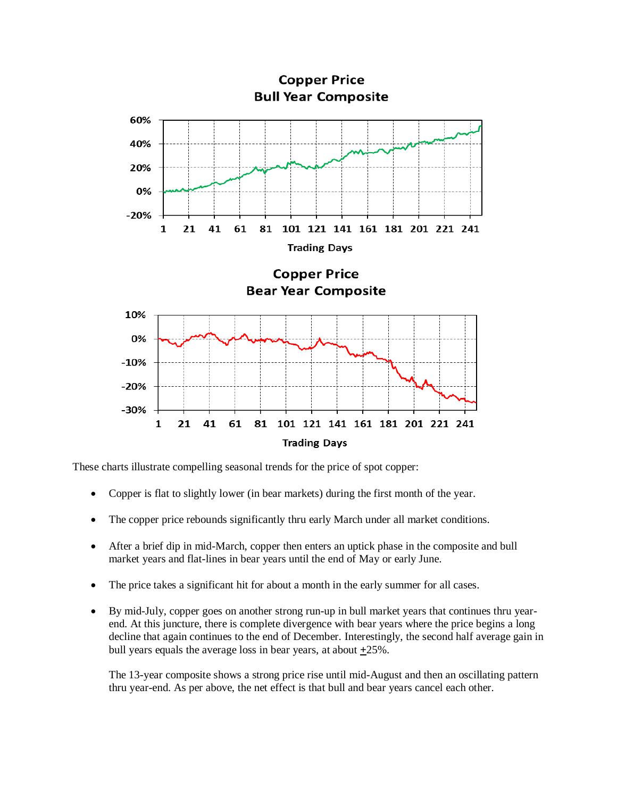

These charts illustrate compelling seasonal trends for the price of spot copper:

- Copper is flat to slightly lower (in bear markets) during the first month of the year.
- The copper price rebounds significantly thru early March under all market conditions.
- After a brief dip in mid-March, copper then enters an uptick phase in the composite and bull market years and flat-lines in bear years until the end of May or early June.
- The price takes a significant hit for about a month in the early summer for all cases.
- By mid-July, copper goes on another strong run-up in bull market years that continues thru yearend. At this juncture, there is complete divergence with bear years where the price begins a long decline that again continues to the end of December. Interestingly, the second half average gain in bull years equals the average loss in bear years, at about **+**25%.

The 13-year composite shows a strong price rise until mid-August and then an oscillating pattern thru year-end. As per above, the net effect is that bull and bear years cancel each other.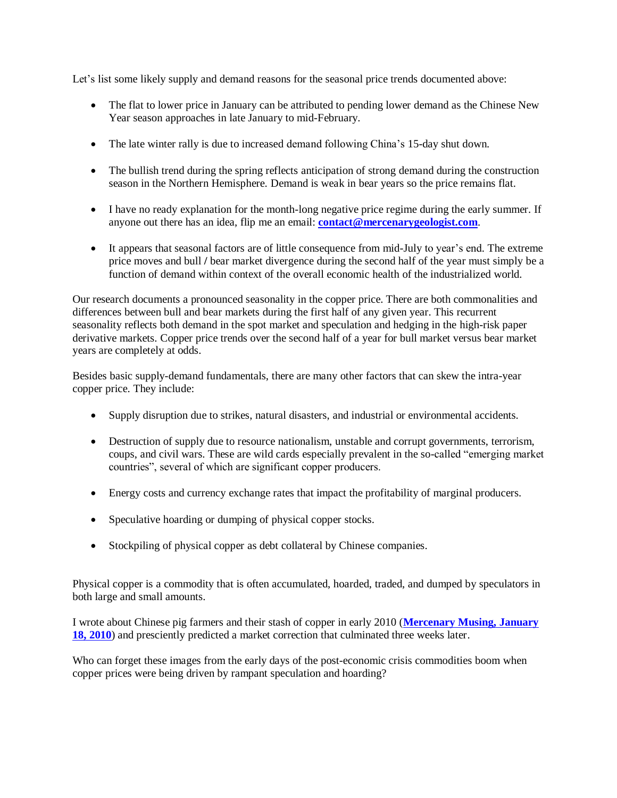Let's list some likely supply and demand reasons for the seasonal price trends documented above:

- The flat to lower price in January can be attributed to pending lower demand as the Chinese New Year season approaches in late January to mid-February.
- The late winter rally is due to increased demand following China's 15-day shut down.
- The bullish trend during the spring reflects anticipation of strong demand during the construction season in the Northern Hemisphere. Demand is weak in bear years so the price remains flat.
- I have no ready explanation for the month-long negative price regime during the early summer. If anyone out there has an idea, flip me an email: **[contact@mercenarygeologist.com](mailto:contact@mercenarygeologist.com)**.
- It appears that seasonal factors are of little consequence from mid-July to year's end. The extreme price moves and bull **/** bear market divergence during the second half of the year must simply be a function of demand within context of the overall economic health of the industrialized world.

Our research documents a pronounced seasonality in the copper price. There are both commonalities and differences between bull and bear markets during the first half of any given year. This recurrent seasonality reflects both demand in the spot market and speculation and hedging in the high-risk paper derivative markets. Copper price trends over the second half of a year for bull market versus bear market years are completely at odds.

Besides basic supply-demand fundamentals, there are many other factors that can skew the intra-year copper price. They include:

- Supply disruption due to strikes, natural disasters, and industrial or environmental accidents.
- Destruction of supply due to resource nationalism, unstable and corrupt governments, terrorism, coups, and civil wars. These are wild cards especially prevalent in the so-called "emerging market countries", several of which are significant copper producers.
- Energy costs and currency exchange rates that impact the profitability of marginal producers.
- Speculative hoarding or dumping of physical copper stocks.
- Stockpiling of physical copper as debt collateral by Chinese companies.

Physical copper is a commodity that is often accumulated, hoarded, traded, and dumped by speculators in both large and small amounts.

I wrote about Chinese pig farmers and their stash of copper in early 2010 (**[Mercenary Musing, January](http://www.goldgeologist.com/mercenary_musings/musing-100118-A-Contrarians-Comment-on-Commodities-The-Curious-Case-of-Copper.pdf)  [18, 2010](http://www.goldgeologist.com/mercenary_musings/musing-100118-A-Contrarians-Comment-on-Commodities-The-Curious-Case-of-Copper.pdf)**) and presciently predicted a market correction that culminated three weeks later.

Who can forget these images from the early days of the post-economic crisis commodities boom when copper prices were being driven by rampant speculation and hoarding?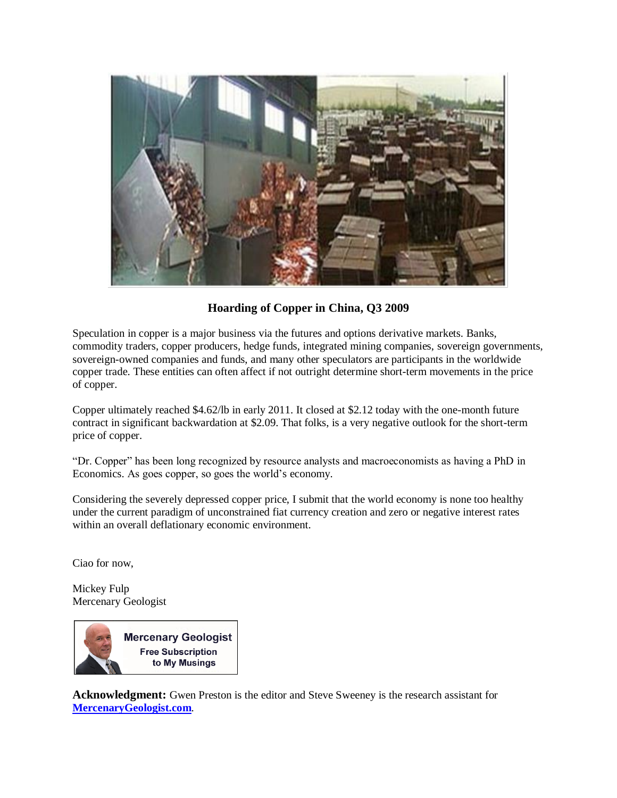

## **Hoarding of Copper in China, Q3 2009**

Speculation in copper is a major business via the futures and options derivative markets. Banks, commodity traders, copper producers, hedge funds, integrated mining companies, sovereign governments, sovereign-owned companies and funds, and many other speculators are participants in the worldwide copper trade. These entities can often affect if not outright determine short-term movements in the price of copper.

Copper ultimately reached \$4.62/lb in early 2011. It closed at \$2.12 today with the one-month future contract in significant backwardation at \$2.09. That folks, is a very negative outlook for the short-term price of copper.

"Dr. Copper" has been long recognized by resource analysts and macroeconomists as having a PhD in Economics. As goes copper, so goes the world's economy.

Considering the severely depressed copper price, I submit that the world economy is none too healthy under the current paradigm of unconstrained fiat currency creation and zero or negative interest rates within an overall deflationary economic environment.

Ciao for now,

Mickey Fulp Mercenary Geologist

**Mercenary Geologist Free Subscription** to My Musings

**Acknowledgment:** Gwen Preston is the editor and Steve Sweeney is the research assistant for **[MercenaryGeologist.com](http://mercenarygeologist.com/)**.